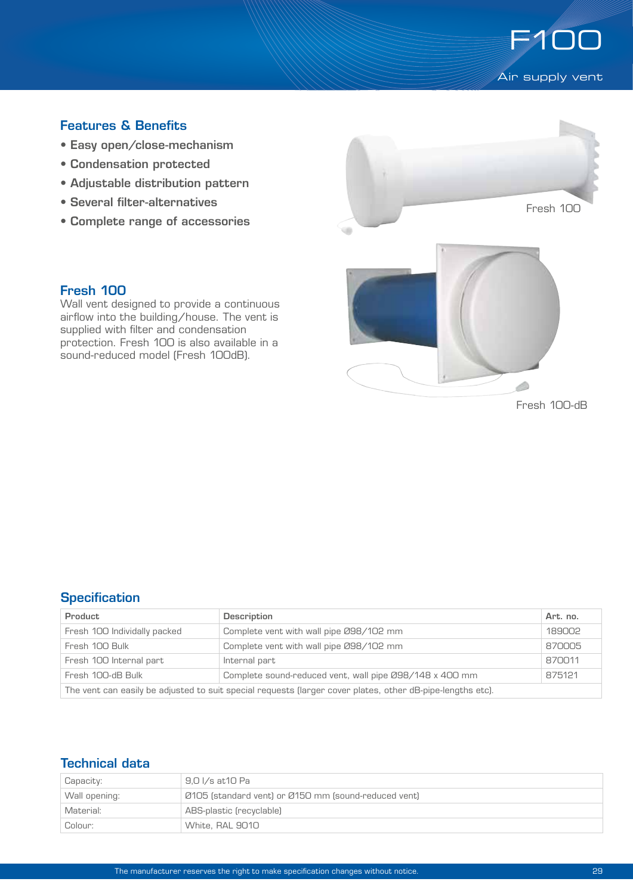

# Features & Benefits

- Easy open/close-mechanism
- Condensation protected
- Adjustable distribution pattern
- Several filter-alternatives
- Complete range of accessories



Fresh 100

Wall vent designed to provide a continuous airflow into the building/house. The vent is supplied with filter and condensation protection. Fresh 100 is also available in a sound-reduced model (Fresh 100dB).

Fresh 100-dB

### **Specification**

| Product                                                                                                    | Description                                             | Art. no. |  |  |
|------------------------------------------------------------------------------------------------------------|---------------------------------------------------------|----------|--|--|
| Fresh 100 Individally packed                                                                               | Complete vent with wall pipe 098/102 mm                 | 189002   |  |  |
| Fresh 100 Bulk                                                                                             | Complete vent with wall pipe 098/102 mm                 | 870005   |  |  |
| Fresh 100 Internal part                                                                                    | Internal part                                           | 870011   |  |  |
| Fresh 100-dB Bulk                                                                                          | Complete sound-reduced vent, wall pipe Ø98/148 x 400 mm | 875121   |  |  |
| The vent can easily be adjusted to suit special requests (larger cover plates, other dB-pipe-lengths etc). |                                                         |          |  |  |

# Technical data

| Capacity:     | 9.0 I/s at 10 Pa                                     |  |
|---------------|------------------------------------------------------|--|
| Wall opening: | Ø105 (standard vent) or Ø150 mm (sound-reduced vent) |  |
| Material:     | ABS-plastic (recyclable)                             |  |
| Colour:       | White, RAL 9010                                      |  |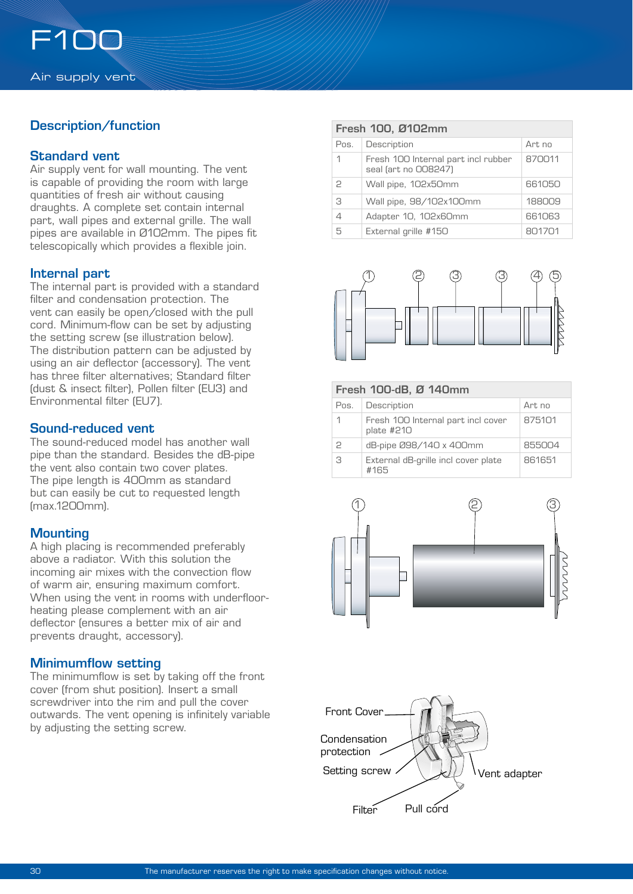# Description/function

### Standard vent

Air supply vent for wall mounting. The vent is capable of providing the room with large quantities of fresh air without causing draughts. A complete set contain internal part, wall pipes and external grille. The wall pipes are available in Ø102mm. The pipes fit telescopically which provides a flexible join.

#### Internal part

The internal part is provided with a standard filter and condensation protection. The vent can easily be open/closed with the pull cord. Minimum-flow can be set by adjusting the setting screw (se illustration below). The distribution pattern can be adjusted by using an air deflector (accessory). The vent has three filter alternatives; Standard filter (dust & insect filter), Pollen filter (EU3) and Environmental filter (EU7).

#### Sound-reduced vent

The sound-reduced model has another wall pipe than the standard. Besides the dB-pipe the vent also contain two cover plates. The pipe length is 400mm as standard but can easily be cut to requested length (max.1200mm).

## **Mounting**

A high placing is recommended preferably above a radiator. With this solution the incoming air mixes with the convection flow of warm air, ensuring maximum comfort. When using the vent in rooms with underfloorheating please complement with an air deflector (ensures a better mix of air and prevents draught, accessory).

## Minimumflow setting

The minimumflow is set by taking off the front cover (from shut position). Insert a small screwdriver into the rim and pull the cover outwards. The vent opening is infinitely variable by adjusting the setting screw.

| Fresh 100, Ø102mm |                                                             |        |  |  |
|-------------------|-------------------------------------------------------------|--------|--|--|
| Pos.              | Description                                                 | Art no |  |  |
| 1                 | Fresh 100 Internal part incl rubber<br>seal (art no 008247) | 870011 |  |  |
| P                 | Wall pipe, 102x50mm                                         | 661050 |  |  |
| 3                 | Wall pipe, 98/102x100mm                                     | 188009 |  |  |
| 4                 | Adapter 10, 102x60mm                                        | 661063 |  |  |
| 5                 | External grille #150                                        | 801701 |  |  |



| Fresh 100-dB, Ø 140mm |                                                  |        |  |  |
|-----------------------|--------------------------------------------------|--------|--|--|
| Pos.                  | Description                                      | Art no |  |  |
|                       | Fresh 100 Internal part incl cover<br>plate #210 | 875101 |  |  |
| 2                     | dB-pipe 098/140 x 400mm                          | 855004 |  |  |
| З                     | External dB-grille incl cover plate<br>#165      | 861651 |  |  |



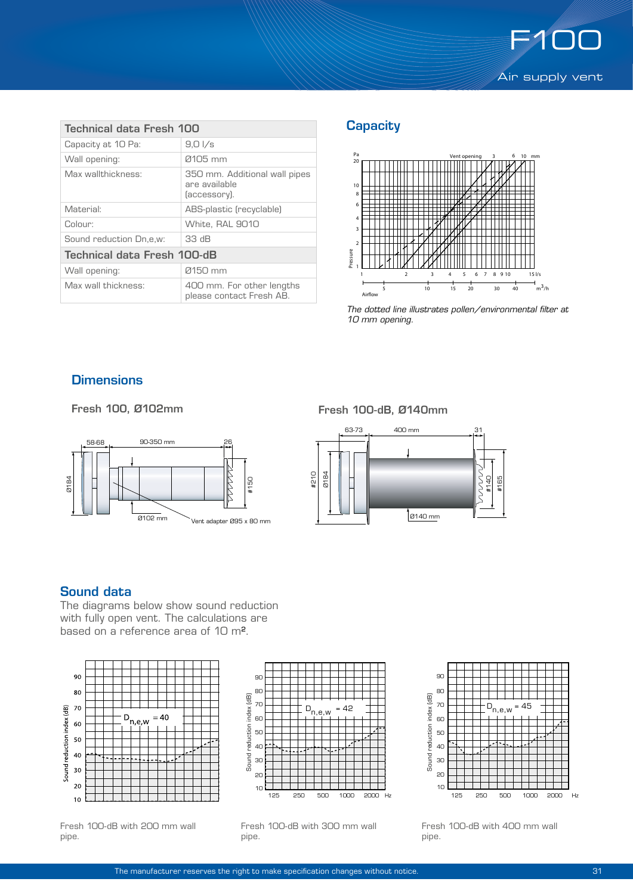

| Technical data Fresh 100    |                                                                |  |  |  |
|-----------------------------|----------------------------------------------------------------|--|--|--|
| Capacity at 10 Pa:          | $9,0\sqrt{s}$                                                  |  |  |  |
| Wall opening:               | 0105 mm                                                        |  |  |  |
| Max wallthickness:          | 350 mm. Additional wall pipes<br>are available<br>(accessory). |  |  |  |
| Material:                   | ABS-plastic (recyclable)                                       |  |  |  |
| Colour:                     | White, RAL 9010                                                |  |  |  |
| Sound reduction Dn,e,w:     | 33 dB                                                          |  |  |  |
| Technical data Fresh 100-dB |                                                                |  |  |  |
| Wall opening:               | 0150 mm                                                        |  |  |  |
| Max wall thickness:         | 400 mm. For other lengths<br>please contact Fresh AB.          |  |  |  |

# **Capacity**



*The dotted line illustrates pollen/environmental filter at 10 mm opening.*

### **Dimensions**



#### Fresh 100, Ø102mm Fresh 100-dB, Ø140mm



#### Sound data

The diagrams below show sound reduction with fully open vent. The calculations are based on a reference area of 10 m².



Fresh 100-dB with 200 mm wall pipe.



Fresh 100-dB with 300 mm wall pipe.



Fresh 100-dB with 400 mm wall pipe.